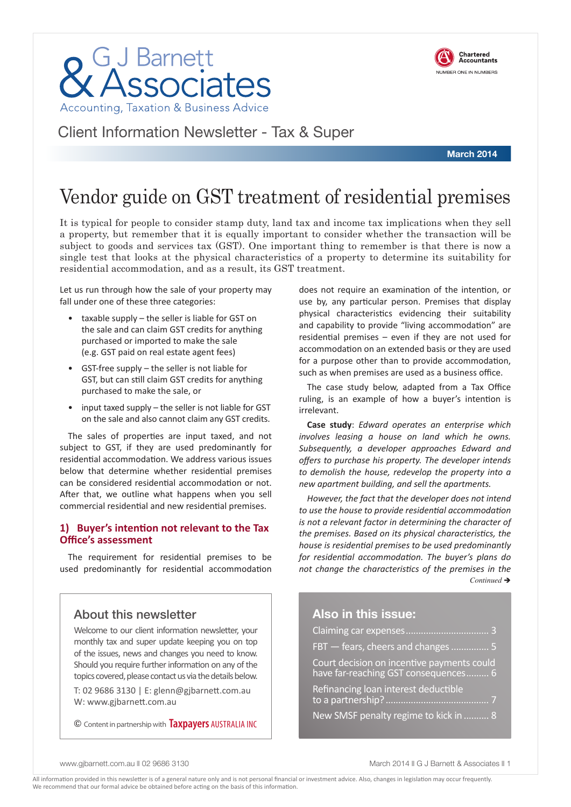



Client Information Newsletter - Tax & Super

**March 2014**

## Vendor guide on GST treatment of residential premises

It is typical for people to consider stamp duty, land tax and income tax implications when they sell a property, but remember that it is equally important to consider whether the transaction will be subject to goods and services tax (GST). One important thing to remember is that there is now a single test that looks at the physical characteristics of a property to determine its suitability for residential accommodation, and as a result, its GST treatment.

Let us run through how the sale of your property may fall under one of these three categories:

- taxable supply the seller is liable for GST on the sale and can claim GST credits for anything purchased or imported to make the sale (e.g. GST paid on real estate agent fees)
- GST-free supply the seller is not liable for GST, but can still claim GST credits for anything purchased to make the sale, or
- input taxed supply  $-$  the seller is not liable for GST on the sale and also cannot claim any GST credits.

The sales of properties are input taxed, and not subject to GST, if they are used predominantly for residential accommodation. We address various issues below that determine whether residential premises can be considered residential accommodation or not. After that, we outline what happens when you sell commercial residential and new residential premises.

#### **1) Buyer's intention not relevant to the Tax Office's assessment**

The requirement for residential premises to be used predominantly for residential accommodation

### About this newsletter

Welcome to our client information newsletter, your monthly tax and super update keeping you on top of the issues, news and changes you need to know. Should you require further information on any of the topics covered, please contact us via the details below.

T: 02 9686 3130 | E: glenn@gjbarnett.com.au W: www.gjbarnett.com.au

© Content in partnership with **Taxpayers** AUSTRALIA INC

does not require an examination of the intention, or use by, any particular person. Premises that display physical characteristics evidencing their suitability and capability to provide "living accommodation" are residential premises – even if they are not used for accommodation on an extended basis or they are used for a purpose other than to provide accommodation, such as when premises are used as a business office.

The case study below, adapted from a Tax Office ruling, is an example of how a buyer's intention is irrelevant.

**Case study**: *Edward operates an enterprise which involves leasing a house on land which he owns. Subsequently, a developer approaches Edward and offers to purchase his property. The developer intends to demolish the house, redevelop the property into a new apartment building, and sell the apartments.* 

*However, the fact that the developer does not intend to use the house to provide residential accommodation is not a relevant factor in determining the character of the premises. Based on its physical characteristics, the house is residential premises to be used predominantly for residential accommodation. The buyer's plans do not change the characteristics of the premises in the*   $Continued \rightarrow$ 

### **Also in this issue:**

| FBT - fears, cheers and changes  5                                                 |
|------------------------------------------------------------------------------------|
| Court decision on incentive payments could<br>have far-reaching GST consequences 6 |
| Refinancing loan interest deductible                                               |
| New SMSF penalty regime to kick in  8                                              |

www.gibarnett.com.au II 02 9686 3130 March 2014 II G J Barnett & Associates II 1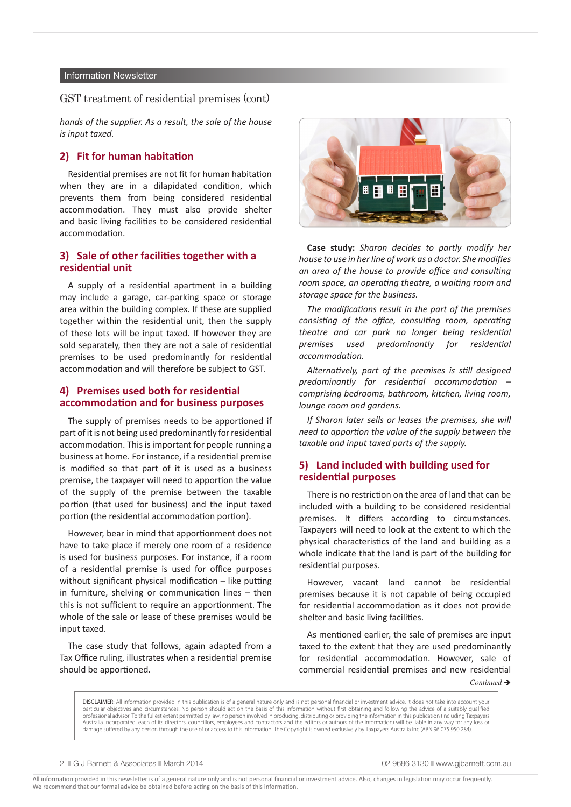#### Information Newsletter

#### GST treatment of residential premises (cont)

*hands of the supplier. As a result, the sale of the house is input taxed.*

#### **2) Fit for human habitation**

Residential premises are not fit for human habitation when they are in a dilapidated condition, which prevents them from being considered residential accommodation. They must also provide shelter and basic living facilities to be considered residential accommodation.

#### **3) Sale of other facilities together with a residential unit**

A supply of a residential apartment in a building may include a garage, car-parking space or storage area within the building complex. If these are supplied together within the residential unit, then the supply of these lots will be input taxed. If however they are sold separately, then they are not a sale of residential premises to be used predominantly for residential accommodation and will therefore be subject to GST.

#### **4) Premises used both for residential accommodation and for business purposes**

The supply of premises needs to be apportioned if part of it is not being used predominantly for residential accommodation. This is important for people running a business at home. For instance, if a residential premise is modified so that part of it is used as a business premise, the taxpayer will need to apportion the value of the supply of the premise between the taxable portion (that used for business) and the input taxed portion (the residential accommodation portion).

However, bear in mind that apportionment does not have to take place if merely one room of a residence is used for business purposes. For instance, if a room of a residential premise is used for office purposes without significant physical modification – like putting in furniture, shelving or communication lines – then this is not sufficient to require an apportionment. The whole of the sale or lease of these premises would be input taxed.

The case study that follows, again adapted from a Tax Office ruling, illustrates when a residential premise should be apportioned.



**Case study:** *Sharon decides to partly modify her house to use in her line of work as a doctor. She modifies an area of the house to provide office and consulting room space, an operating theatre, a waiting room and storage space for the business.* 

*The modifications result in the part of the premises consisting of the office, consulting room, operating theatre and car park no longer being residential premises used predominantly for residential accommodation.* 

*Alternatively, part of the premises is still designed predominantly for residential accommodation – comprising bedrooms, bathroom, kitchen, living room, lounge room and gardens.* 

*If Sharon later sells or leases the premises, she will need to apportion the value of the supply between the taxable and input taxed parts of the supply.* 

#### **5) Land included with building used for residential purposes**

There is no restriction on the area of land that can be included with a building to be considered residential premises. It differs according to circumstances. Taxpayers will need to look at the extent to which the physical characteristics of the land and building as a whole indicate that the land is part of the building for residential purposes.

However, vacant land cannot be residential premises because it is not capable of being occupied for residential accommodation as it does not provide shelter and basic living facilities.

As mentioned earlier, the sale of premises are input taxed to the extent that they are used predominantly for residential accommodation. However, sale of commercial residential premises and new residential

*Continued* →

DISCLAIMER: All information provided in this publication is of a general nature only and is not personal financial or investment advice. It does not take into account your particular objectives and circumstances. No person should act on the basis of this information without first obtaining and following the advice of a suitably qualified professional advisor. To the fullest extent permitted by law, no person involved in producing, distributing or providing the information in this publication (including Taxpayers Australia Incorporated, each of its directors, councillors, employees and contractors and the editors or authors of the information) will be liable in any way for any loss or damage suffered by any person through the use of or access to this information. The Copyright is owned exclusively by Taxpayers Australia Inc (ABN 96 075 950 284).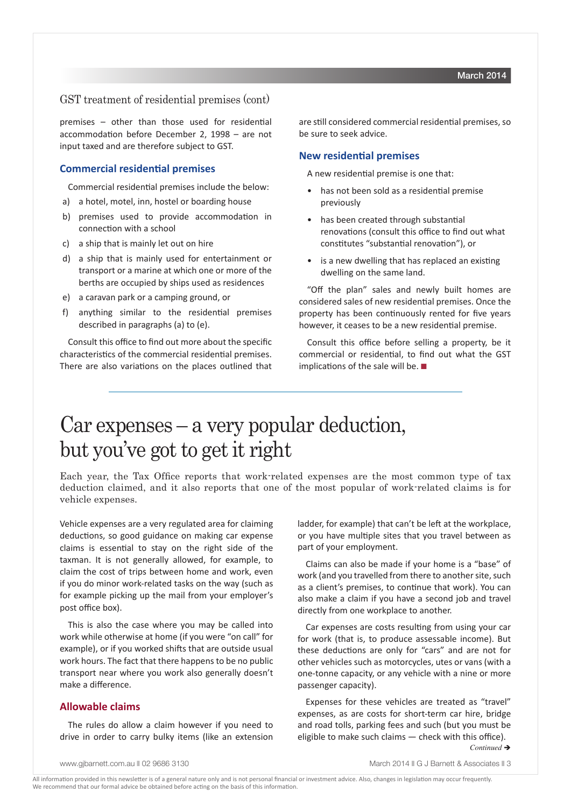#### GST treatment of residential premises (cont)

premises – other than those used for residential accommodation before December 2, 1998 – are not input taxed and are therefore subject to GST.

#### **Commercial residential premises**

Commercial residential premises include the below:

- a) a hotel, motel, inn, hostel or boarding house
- b) premises used to provide accommodation in connection with a school
- c) a ship that is mainly let out on hire
- d) a ship that is mainly used for entertainment or transport or a marine at which one or more of the berths are occupied by ships used as residences
- e) a caravan park or a camping ground, or
- f) anything similar to the residential premises described in paragraphs (a) to (e).

Consult this office to find out more about the specific characteristics of the commercial residential premises. There are also variations on the places outlined that are still considered commercial residential premises, so be sure to seek advice.

#### **New residential premises**

A new residential premise is one that:

- has not been sold as a residential premise previously
- has been created through substantial renovations (consult this office to find out what constitutes "substantial renovation"), or
- is a new dwelling that has replaced an existing dwelling on the same land.

"Off the plan" sales and newly built homes are considered sales of new residential premises. Once the property has been continuously rented for five years however, it ceases to be a new residential premise.

Consult this office before selling a property, be it commercial or residential, to find out what the GST implications of the sale will be.  $\blacksquare$ 

## Car expenses – a very popular deduction, but you've got to get it right

Each year, the Tax Office reports that work-related expenses are the most common type of tax deduction claimed, and it also reports that one of the most popular of work-related claims is for vehicle expenses.

Vehicle expenses are a very regulated area for claiming deductions, so good guidance on making car expense claims is essential to stay on the right side of the taxman. It is not generally allowed, for example, to claim the cost of trips between home and work, even if you do minor work-related tasks on the way (such as for example picking up the mail from your employer's post office box).

This is also the case where you may be called into work while otherwise at home (if you were "on call" for example), or if you worked shifts that are outside usual work hours. The fact that there happens to be no public transport near where you work also generally doesn't make a difference.

#### **Allowable claims**

The rules do allow a claim however if you need to drive in order to carry bulky items (like an extension

ladder, for example) that can't be left at the workplace, or you have multiple sites that you travel between as part of your employment.

Claims can also be made if your home is a "base" of work (and you travelled from there to another site, such as a client's premises, to continue that work). You can also make a claim if you have a second job and travel directly from one workplace to another.

Car expenses are costs resulting from using your car for work (that is, to produce assessable income). But these deductions are only for "cars" and are not for other vehicles such as motorcycles, utes or vans (with a one-tonne capacity, or any vehicle with a nine or more passenger capacity).

Expenses for these vehicles are treated as "travel" expenses, as are costs for short-term car hire, bridge and road tolls, parking fees and such (but you must be eligible to make such claims — check with this office).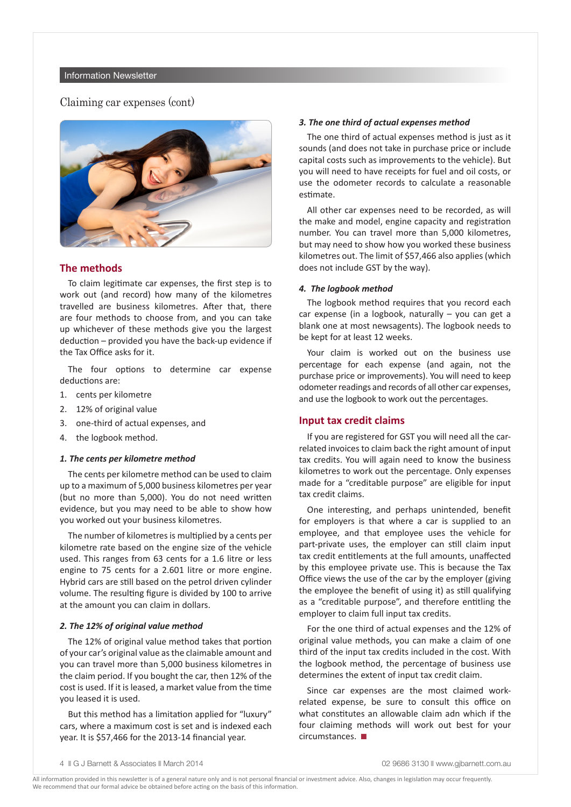#### Claiming car expenses (cont)



#### **The methods**

To claim legitimate car expenses, the first step is to work out (and record) how many of the kilometres travelled are business kilometres. After that, there are four methods to choose from, and you can take up whichever of these methods give you the largest deduction – provided you have the back-up evidence if the Tax Office asks for it.

The four options to determine car expense deductions are:

- 1. cents per kilometre
- 2. 12% of original value
- 3. one-third of actual expenses, and
- 4. the logbook method.

#### *1. The cents per kilometre method*

The cents per kilometre method can be used to claim up to a maximum of 5,000 business kilometres per year (but no more than 5,000). You do not need written evidence, but you may need to be able to show how you worked out your business kilometres.

The number of kilometres is multiplied by a cents per kilometre rate based on the engine size of the vehicle used. This ranges from 63 cents for a 1.6 litre or less engine to 75 cents for a 2.601 litre or more engine. Hybrid cars are still based on the petrol driven cylinder volume. The resulting figure is divided by 100 to arrive at the amount you can claim in dollars.

#### *2. The 12% of original value method*

The 12% of original value method takes that portion of your car's original value as the claimable amount and you can travel more than 5,000 business kilometres in the claim period. If you bought the car, then 12% of the cost is used. If it is leased, a market value from the time you leased it is used.

But this method has a limitation applied for "luxury" cars, where a maximum cost is set and is indexed each year. It is \$57,466 for the 2013-14 financial year.

#### *3. The one third of actual expenses method*

The one third of actual expenses method is just as it sounds (and does not take in purchase price or include capital costs such as improvements to the vehicle). But you will need to have receipts for fuel and oil costs, or use the odometer records to calculate a reasonable estimate.

All other car expenses need to be recorded, as will the make and model, engine capacity and registration number. You can travel more than 5,000 kilometres, but may need to show how you worked these business kilometres out. The limit of \$57,466 also applies (which does not include GST by the way).

#### *4. The logbook method*

The logbook method requires that you record each car expense (in a logbook, naturally – you can get a blank one at most newsagents). The logbook needs to be kept for at least 12 weeks.

Your claim is worked out on the business use percentage for each expense (and again, not the purchase price or improvements). You will need to keep odometer readings and records of all other car expenses, and use the logbook to work out the percentages.

#### **Input tax credit claims**

If you are registered for GST you will need all the carrelated invoices to claim back the right amount of input tax credits. You will again need to know the business kilometres to work out the percentage. Only expenses made for a "creditable purpose" are eligible for input tax credit claims.

One interesting, and perhaps unintended, benefit for employers is that where a car is supplied to an employee, and that employee uses the vehicle for part-private uses, the employer can still claim input tax credit entitlements at the full amounts, unaffected by this employee private use. This is because the Tax Office views the use of the car by the employer (giving the employee the benefit of using it) as still qualifying as a "creditable purpose", and therefore entitling the employer to claim full input tax credits.

For the one third of actual expenses and the 12% of original value methods, you can make a claim of one third of the input tax credits included in the cost. With the logbook method, the percentage of business use determines the extent of input tax credit claim.

Since car expenses are the most claimed workrelated expense, be sure to consult this office on what constitutes an allowable claim adn which if the four claiming methods will work out best for your  $circumstances.$ 

<sup>4</sup> **n** G J Barnett & Associates **n** March 2014 **1998** 120 and the community of the community of the community of the community of the community of the community of the community of the community of the community of the comm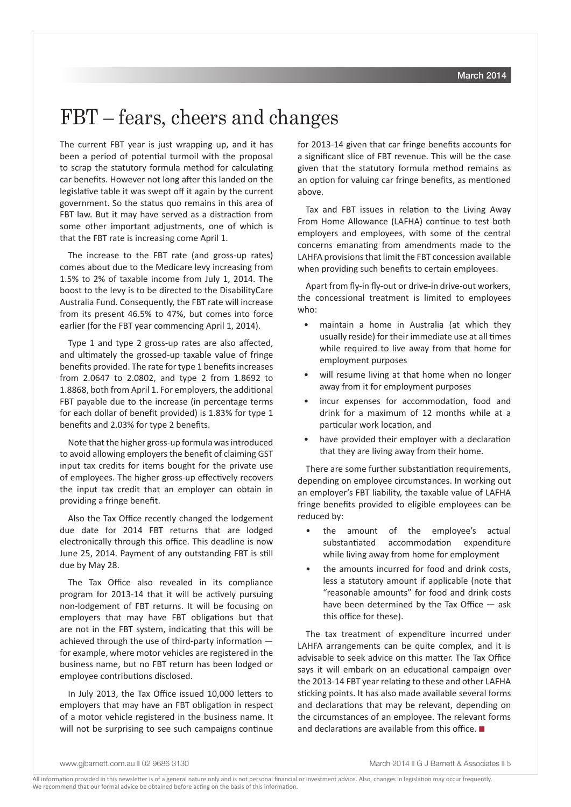### FBT – fears, cheers and changes

The current FBT year is just wrapping up, and it has been a period of potential turmoil with the proposal to scrap the statutory formula method for calculating car benefits. However not long after this landed on the legislative table it was swept off it again by the current government. So the status quo remains in this area of FBT law. But it may have served as a distraction from some other important adjustments, one of which is that the FBT rate is increasing come April 1.

The increase to the FBT rate (and gross-up rates) comes about due to the Medicare levy increasing from 1.5% to 2% of taxable income from July 1, 2014. The boost to the levy is to be directed to the DisabilityCare Australia Fund. Consequently, the FBT rate will increase from its present 46.5% to 47%, but comes into force earlier (for the FBT year commencing April 1, 2014).

Type 1 and type 2 gross-up rates are also affected, and ultimately the grossed-up taxable value of fringe benefits provided. The rate for type 1 benefits increases from 2.0647 to 2.0802, and type 2 from 1.8692 to 1.8868, both from April 1. For employers, the additional FBT payable due to the increase (in percentage terms for each dollar of benefit provided) is 1.83% for type 1 benefits and 2.03% for type 2 benefits.

Note that the higher gross-up formula was introduced to avoid allowing employers the benefit of claiming GST input tax credits for items bought for the private use of employees. The higher gross-up effectively recovers the input tax credit that an employer can obtain in providing a fringe benefit.

Also the Tax Office recently changed the lodgement due date for 2014 FBT returns that are lodged electronically through this office. This deadline is now June 25, 2014. Payment of any outstanding FBT is still due by May 28.

The Tax Office also revealed in its compliance program for 2013-14 that it will be actively pursuing non-lodgement of FBT returns. It will be focusing on employers that may have FBT obligations but that are not in the FBT system, indicating that this will be achieved through the use of third-party information for example, where motor vehicles are registered in the business name, but no FBT return has been lodged or employee contributions disclosed.

In July 2013, the Tax Office issued 10,000 letters to employers that may have an FBT obligation in respect of a motor vehicle registered in the business name. It will not be surprising to see such campaigns continue

for 2013-14 given that car fringe benefits accounts for a significant slice of FBT revenue. This will be the case given that the statutory formula method remains as an option for valuing car fringe benefits, as mentioned above.

Tax and FBT issues in relation to the Living Away From Home Allowance (LAFHA) continue to test both employers and employees, with some of the central concerns emanating from amendments made to the LAHFA provisions that limit the FBT concession available when providing such benefits to certain employees.

Apart from fly-in fly-out or drive-in drive-out workers, the concessional treatment is limited to employees who:

- maintain a home in Australia (at which they usually reside) for their immediate use at all times while required to live away from that home for employment purposes
- will resume living at that home when no longer away from it for employment purposes
- incur expenses for accommodation, food and drink for a maximum of 12 months while at a particular work location, and
- have provided their employer with a declaration that they are living away from their home.

There are some further substantiation requirements, depending on employee circumstances. In working out an employer's FBT liability, the taxable value of LAFHA fringe benefits provided to eligible employees can be reduced by:

- the amount of the employee's actual substantiated accommodation expenditure while living away from home for employment
- the amounts incurred for food and drink costs, less a statutory amount if applicable (note that "reasonable amounts" for food and drink costs have been determined by the Tax Office — ask this office for these).

The tax treatment of expenditure incurred under LAHFA arrangements can be quite complex, and it is advisable to seek advice on this matter. The Tax Office says it will embark on an educational campaign over the 2013-14 FBT year relating to these and other LAFHA sticking points. It has also made available several forms and declarations that may be relevant, depending on the circumstances of an employee. The relevant forms and declarations are available from this office.  $\blacksquare$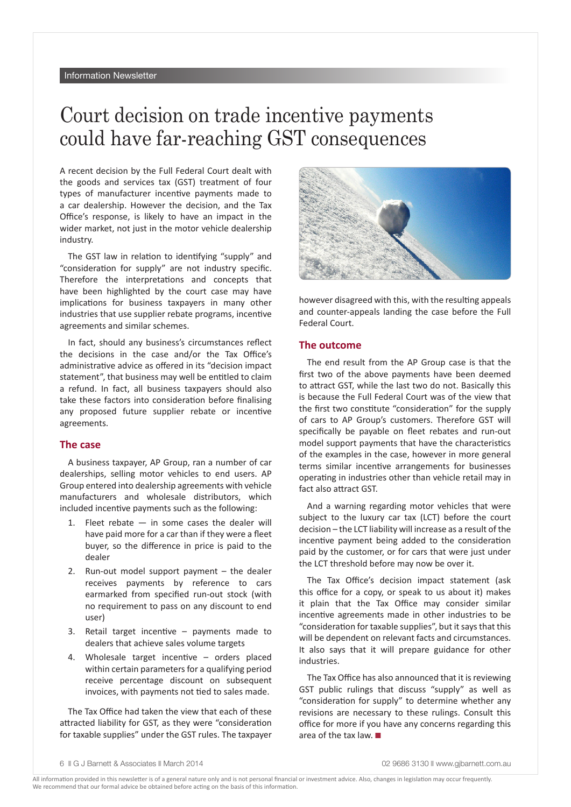## Court decision on trade incentive payments could have far-reaching GST consequences

A recent decision by the Full Federal Court dealt with the goods and services tax (GST) treatment of four types of manufacturer incentive payments made to a car dealership. However the decision, and the Tax Office's response, is likely to have an impact in the wider market, not just in the motor vehicle dealership industry.

The GST law in relation to identifying "supply" and "consideration for supply" are not industry specific. Therefore the interpretations and concepts that have been highlighted by the court case may have implications for business taxpayers in many other industries that use supplier rebate programs, incentive agreements and similar schemes.

In fact, should any business's circumstances reflect the decisions in the case and/or the Tax Office's administrative advice as offered in its "decision impact statement", that business may well be entitled to claim a refund. In fact, all business taxpayers should also take these factors into consideration before finalising any proposed future supplier rebate or incentive agreements.

#### **The case**

A business taxpayer, AP Group, ran a number of car dealerships, selling motor vehicles to end users. AP Group entered into dealership agreements with vehicle manufacturers and wholesale distributors, which included incentive payments such as the following:

- 1. Fleet rebate in some cases the dealer will have paid more for a car than if they were a fleet buyer, so the difference in price is paid to the dealer
- 2. Run-out model support payment the dealer receives payments by reference to cars earmarked from specified run-out stock (with no requirement to pass on any discount to end user)
- 3. Retail target incentive payments made to dealers that achieve sales volume targets
- 4. Wholesale target incentive orders placed within certain parameters for a qualifying period receive percentage discount on subsequent invoices, with payments not tied to sales made.

The Tax Office had taken the view that each of these attracted liability for GST, as they were "consideration for taxable supplies" under the GST rules. The taxpayer



however disagreed with this, with the resulting appeals and counter-appeals landing the case before the Full Federal Court.

#### **The outcome**

The end result from the AP Group case is that the first two of the above payments have been deemed to attract GST, while the last two do not. Basically this is because the Full Federal Court was of the view that the first two constitute "consideration" for the supply of cars to AP Group's customers. Therefore GST will specifically be payable on fleet rebates and run-out model support payments that have the characteristics of the examples in the case, however in more general terms similar incentive arrangements for businesses operating in industries other than vehicle retail may in fact also attract GST.

And a warning regarding motor vehicles that were subject to the luxury car tax (LCT) before the court decision – the LCT liability will increase as a result of the incentive payment being added to the consideration paid by the customer, or for cars that were just under the LCT threshold before may now be over it.

The Tax Office's decision impact statement (ask this office for a copy, or speak to us about it) makes it plain that the Tax Office may consider similar incentive agreements made in other industries to be "consideration for taxable supplies", but it says that this will be dependent on relevant facts and circumstances. It also says that it will prepare guidance for other industries.

The Tax Office has also announced that it is reviewing GST public rulings that discuss "supply" as well as "consideration for supply" to determine whether any revisions are necessary to these rulings. Consult this office for more if you have any concerns regarding this area of the tax law.  $\blacksquare$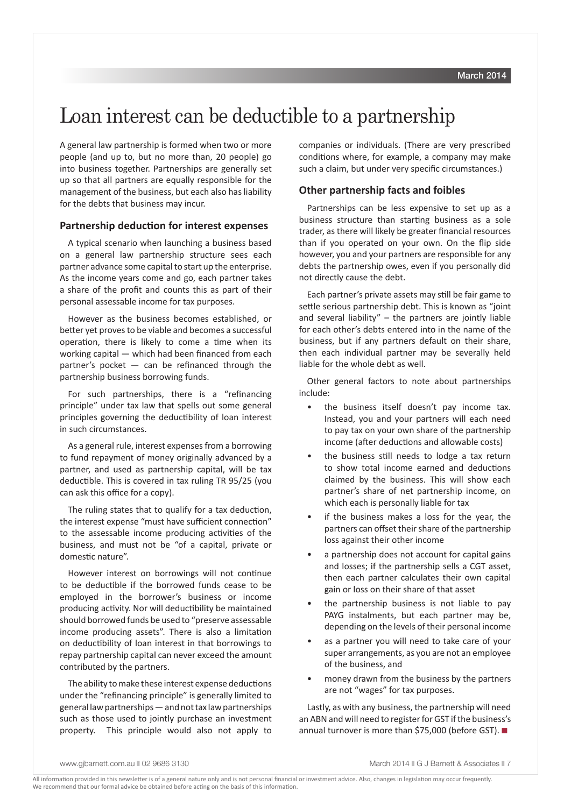### Loan interest can be deductible to a partnership

A general law partnership is formed when two or more people (and up to, but no more than, 20 people) go into business together. Partnerships are generally set up so that all partners are equally responsible for the management of the business, but each also has liability for the debts that business may incur.

#### **Partnership deduction for interest expenses**

A typical scenario when launching a business based on a general law partnership structure sees each partner advance some capital to start up the enterprise. As the income years come and go, each partner takes a share of the profit and counts this as part of their personal assessable income for tax purposes.

However as the business becomes established, or better yet proves to be viable and becomes a successful operation, there is likely to come a time when its working capital — which had been financed from each partner's pocket  $-$  can be refinanced through the partnership business borrowing funds.

For such partnerships, there is a "refinancing principle" under tax law that spells out some general principles governing the deductibility of loan interest in such circumstances.

As a general rule, interest expenses from a borrowing to fund repayment of money originally advanced by a partner, and used as partnership capital, will be tax deductible. This is covered in tax ruling TR 95/25 (you can ask this office for a copy).

The ruling states that to qualify for a tax deduction, the interest expense "must have sufficient connection" to the assessable income producing activities of the business, and must not be "of a capital, private or domestic nature".

However interest on borrowings will not continue to be deductible if the borrowed funds cease to be employed in the borrower's business or income producing activity. Nor will deductibility be maintained should borrowed funds be used to "preserve assessable income producing assets". There is also a limitation on deductibility of loan interest in that borrowings to repay partnership capital can never exceed the amount contributed by the partners.

The ability to make these interest expense deductions under the "refinancing principle" is generally limited to general law partnerships — and not tax law partnerships such as those used to jointly purchase an investment property. This principle would also not apply to companies or individuals. (There are very prescribed conditions where, for example, a company may make such a claim, but under very specific circumstances.)

#### **Other partnership facts and foibles**

Partnerships can be less expensive to set up as a business structure than starting business as a sole trader, as there will likely be greater financial resources than if you operated on your own. On the flip side however, you and your partners are responsible for any debts the partnership owes, even if you personally did not directly cause the debt.

Each partner's private assets may still be fair game to settle serious partnership debt. This is known as "joint and several liability"  $-$  the partners are jointly liable for each other's debts entered into in the name of the business, but if any partners default on their share, then each individual partner may be severally held liable for the whole debt as well.

Other general factors to note about partnerships include:

- the business itself doesn't pay income tax. Instead, you and your partners will each need to pay tax on your own share of the partnership income (after deductions and allowable costs)
- the business still needs to lodge a tax return to show total income earned and deductions claimed by the business. This will show each partner's share of net partnership income, on which each is personally liable for tax
- if the business makes a loss for the year, the partners can offset their share of the partnership loss against their other income
- a partnership does not account for capital gains and losses; if the partnership sells a CGT asset, then each partner calculates their own capital gain or loss on their share of that asset
- the partnership business is not liable to pay PAYG instalments, but each partner may be, depending on the levels of their personal income
- as a partner you will need to take care of your super arrangements, as you are not an employee of the business, and
- money drawn from the business by the partners are not "wages" for tax purposes.

Lastly, as with any business, the partnership will need an ABN and will need to register for GST if the business's annual turnover is more than \$75,000 (before GST).  $\blacksquare$